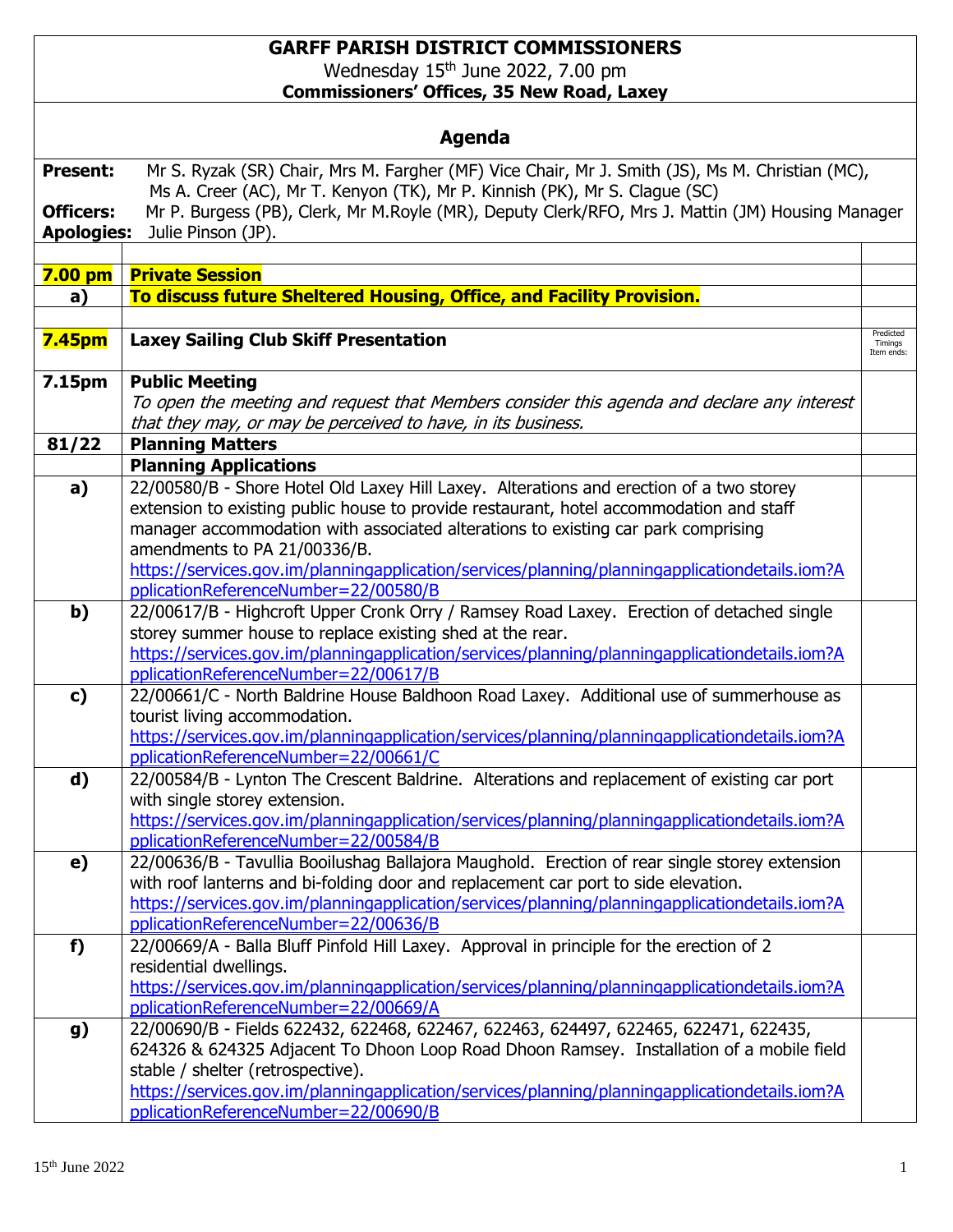## **GARFF PARISH DISTRICT COMMISSIONERS** Wednesday 15<sup>th</sup> June 2022, 7.00 pm **Commissioners' Offices, 35 New Road, Laxey**

| <b>Agenda</b>                                            |                                                                                                                                                                                                                                                                                                                                                                |                                    |  |
|----------------------------------------------------------|----------------------------------------------------------------------------------------------------------------------------------------------------------------------------------------------------------------------------------------------------------------------------------------------------------------------------------------------------------------|------------------------------------|--|
| <b>Present:</b><br><b>Officers:</b><br><b>Apologies:</b> | Mr S. Ryzak (SR) Chair, Mrs M. Fargher (MF) Vice Chair, Mr J. Smith (JS), Ms M. Christian (MC),<br>Ms A. Creer (AC), Mr T. Kenyon (TK), Mr P. Kinnish (PK), Mr S. Clague (SC)<br>Mr P. Burgess (PB), Clerk, Mr M.Royle (MR), Deputy Clerk/RFO, Mrs J. Mattin (JM) Housing Manager<br>Julie Pinson (JP).                                                        |                                    |  |
|                                                          |                                                                                                                                                                                                                                                                                                                                                                |                                    |  |
|                                                          | 7.00 pm Private Session                                                                                                                                                                                                                                                                                                                                        |                                    |  |
| a)                                                       | To discuss future Sheltered Housing, Office, and Facility Provision.                                                                                                                                                                                                                                                                                           |                                    |  |
| <b>7.45pm</b>                                            | <b>Laxey Sailing Club Skiff Presentation</b>                                                                                                                                                                                                                                                                                                                   | Predicted<br>Timings<br>Item ends: |  |
| 7.15pm                                                   | <b>Public Meeting</b>                                                                                                                                                                                                                                                                                                                                          |                                    |  |
|                                                          | To open the meeting and request that Members consider this agenda and declare any interest<br>that they may, or may be perceived to have, in its business.                                                                                                                                                                                                     |                                    |  |
| 81/22                                                    | <b>Planning Matters</b>                                                                                                                                                                                                                                                                                                                                        |                                    |  |
|                                                          | <b>Planning Applications</b>                                                                                                                                                                                                                                                                                                                                   |                                    |  |
| a)                                                       | 22/00580/B - Shore Hotel Old Laxey Hill Laxey. Alterations and erection of a two storey<br>extension to existing public house to provide restaurant, hotel accommodation and staff<br>manager accommodation with associated alterations to existing car park comprising<br>amendments to PA 21/00336/B.                                                        |                                    |  |
|                                                          | https://services.gov.im/planningapplication/services/planning/planningapplicationdetails.iom?A<br>pplicationReferenceNumber=22/00580/B                                                                                                                                                                                                                         |                                    |  |
| b)                                                       | 22/00617/B - Highcroft Upper Cronk Orry / Ramsey Road Laxey. Erection of detached single<br>storey summer house to replace existing shed at the rear.<br>https://services.gov.im/planningapplication/services/planning/planningapplicationdetails.iom?A<br>pplicationReferenceNumber=22/00617/B                                                                |                                    |  |
| c)                                                       | 22/00661/C - North Baldrine House Baldhoon Road Laxey. Additional use of summerhouse as<br>tourist living accommodation.<br>https://services.gov.im/planningapplication/services/planning/planningapplicationdetails.iom?A<br>pplicationReferenceNumber=22/00661/C                                                                                             |                                    |  |
| d)                                                       | 22/00584/B - Lynton The Crescent Baldrine. Alterations and replacement of existing car port<br>with single storey extension.<br>https://services.gov.im/planningapplication/services/planning/planningapplicationdetails.iom?A<br>pplicationReferenceNumber=22/00584/B                                                                                         |                                    |  |
| e)                                                       | 22/00636/B - Tavullia Booilushag Ballajora Maughold. Erection of rear single storey extension<br>with roof lanterns and bi-folding door and replacement car port to side elevation.<br>https://services.gov.im/planningapplication/services/planning/planningapplicationdetails.iom?A<br>pplicationReferenceNumber=22/00636/B                                  |                                    |  |
| f)                                                       | 22/00669/A - Balla Bluff Pinfold Hill Laxey. Approval in principle for the erection of 2<br>residential dwellings.<br>https://services.gov.im/planningapplication/services/planning/planningapplicationdetails.iom?A<br>pplicationReferenceNumber=22/00669/A                                                                                                   |                                    |  |
| g)                                                       | 22/00690/B - Fields 622432, 622468, 622467, 622463, 624497, 622465, 622471, 622435,<br>624326 & 624325 Adjacent To Dhoon Loop Road Dhoon Ramsey. Installation of a mobile field<br>stable / shelter (retrospective).<br>https://services.gov.im/planningapplication/services/planning/planningapplicationdetails.iom?A<br>pplicationReferenceNumber=22/00690/B |                                    |  |